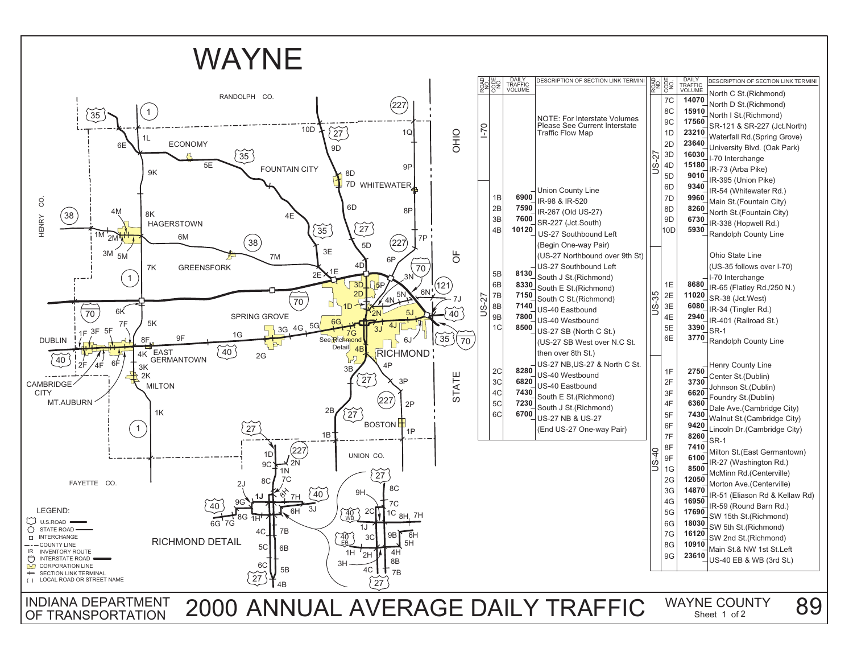